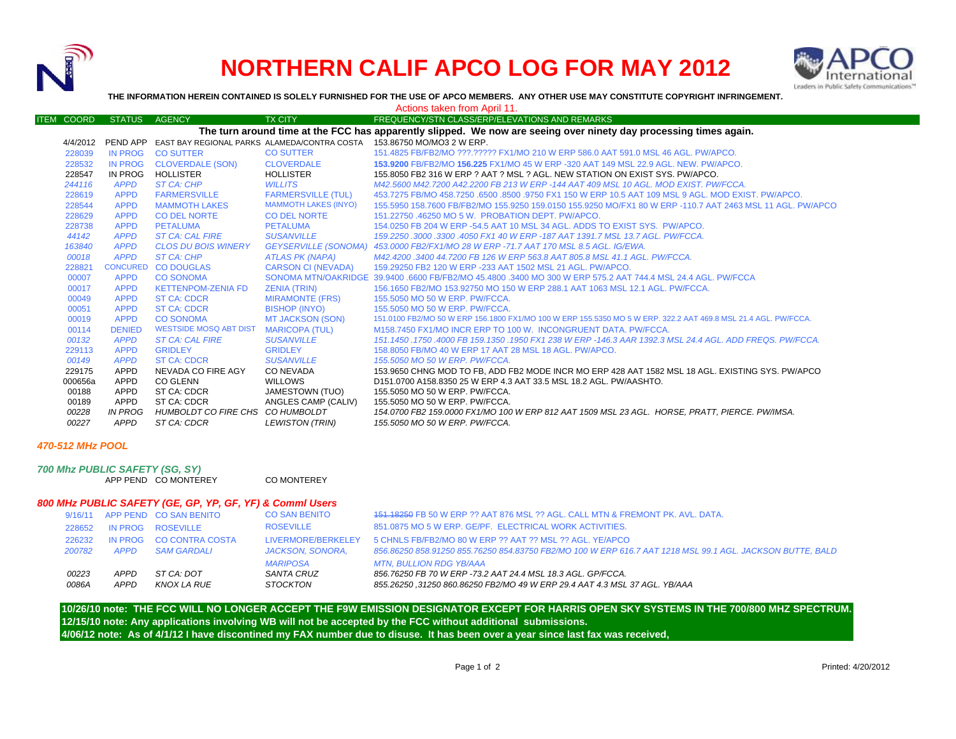

## **NORTHERN CALIF APCO LOG FOR MAY 2012**



**THE INFORMATION HEREIN CONTAINED IS SOLELY FURNISHED FOR THE USE OF APCO MEMBERS. ANY OTHER USE MAY CONSTITUTE COPYRIGHT INFRINGEMENT.**

| Actions taken from April 11.                                                                                      |            |                |                                                                |                             |                                                                                                                |  |  |  |  |  |  |  |
|-------------------------------------------------------------------------------------------------------------------|------------|----------------|----------------------------------------------------------------|-----------------------------|----------------------------------------------------------------------------------------------------------------|--|--|--|--|--|--|--|
|                                                                                                                   | ITEM COORD | STATUS AGENCY  |                                                                | <b>TX CITY</b>              | FREQUENCY/STN CLASS/ERP/ELEVATIONS AND REMARKS                                                                 |  |  |  |  |  |  |  |
| The turn around time at the FCC has apparently slipped. We now are seeing over ninety day processing times again. |            |                |                                                                |                             |                                                                                                                |  |  |  |  |  |  |  |
|                                                                                                                   |            |                | 4/4/2012 PEND APP EAST BAY REGIONAL PARKS ALAMEDA/CONTRA COSTA |                             | 153.86750 MO/MO3 2 W ERP.                                                                                      |  |  |  |  |  |  |  |
|                                                                                                                   | 228039     | <b>IN PROG</b> | <b>CO SUTTER</b>                                               | <b>CO SUTTER</b>            | 151.4825 FB/FB2/MO ???.????? FX1/MO 210 W ERP 586.0 AAT 591.0 MSL 46 AGL, PW/APCO.                             |  |  |  |  |  |  |  |
|                                                                                                                   | 228532     | IN PROG        | <b>CLOVERDALE (SON)</b>                                        | <b>CLOVERDALE</b>           | 153.9200 FB/FB2/MO 156.225 FX1/MO 45 W ERP -320 AAT 149 MSL 22.9 AGL. NEW. PW/APCO.                            |  |  |  |  |  |  |  |
|                                                                                                                   | 228547     | IN PROG        | <b>HOLLISTER</b>                                               | HOLLISTER                   | 155,8050 FB2 316 W ERP ? AAT ? MSL ? AGL. NEW STATION ON EXIST SYS. PW/APCO.                                   |  |  |  |  |  |  |  |
|                                                                                                                   | 244116     | <b>APPD</b>    | <b>ST CA: CHP</b>                                              | <b>WILLITS</b>              | M42.5600 M42.7200 A42.2200 FB 213 W ERP -144 AAT 409 MSL 10 AGL. MOD EXIST. PW/FCCA.                           |  |  |  |  |  |  |  |
|                                                                                                                   | 228619     | <b>APPD</b>    | <b>FARMERSVILLE</b>                                            | <b>FARMERSVILLE (TUL)</b>   | 453.7275 FB/MO 458.7250 .6500 .8500 .9750 FX1 150 W ERP 10.5 AAT 109 MSL 9 AGL, MOD EXIST, PW/APCO,            |  |  |  |  |  |  |  |
|                                                                                                                   | 228544     | <b>APPD</b>    | <b>MAMMOTH LAKES</b>                                           | <b>MAMMOTH LAKES (INYO)</b> | 155.5950 158.7600 FB/FB2/MO 155.9250 159.0150 155.9250 MO/FX1 80 W ERP -110.7 AAT 2463 MSL 11 AGL. PW/APCO     |  |  |  |  |  |  |  |
|                                                                                                                   | 228629     | <b>APPD</b>    | <b>CO DEL NORTE</b>                                            | <b>CO DEL NORTE</b>         | 151.22750 .46250 MO 5 W. PROBATION DEPT. PW/APCO.                                                              |  |  |  |  |  |  |  |
|                                                                                                                   | 228738     | <b>APPD</b>    | <b>PETALUMA</b>                                                | PETALUMA                    | 154,0250 FB 204 W ERP -54.5 AAT 10 MSL 34 AGL, ADDS TO EXIST SYS. PW/APCO.                                     |  |  |  |  |  |  |  |
|                                                                                                                   | 44142      | <b>APPD</b>    | <b>ST CA: CAL FIRE</b>                                         | <b>SUSANVILLE</b>           | 159.2250 .3000 .3300 .4050 FX1 40 W ERP -187 AAT 1391.7 MSL 13.7 AGL. PW/FCCA.                                 |  |  |  |  |  |  |  |
|                                                                                                                   | 163840     | <b>APPD</b>    | <b>CLOS DU BOIS WINERY</b>                                     |                             | GEYSERVILLE (SONOMA) 453.0000 FB2/FX1/MO 28 W ERP -71.7 AAT 170 MSL 8.5 AGL. IG/EWA.                           |  |  |  |  |  |  |  |
|                                                                                                                   | 00018      | <b>APPD</b>    | ST CA: CHP                                                     | ATLAS PK (NAPA)             | M42.4200.3400 44.7200 FB 126 W ERP 563.8 AAT 805.8 MSL 41.1 AGL. PW/FCCA.                                      |  |  |  |  |  |  |  |
|                                                                                                                   | 228821     |                | CONCURED CO DOUGLAS                                            | <b>CARSON CI (NEVADA)</b>   | 159.29250 FB2 120 W ERP -233 AAT 1502 MSL 21 AGL, PW/APCO.                                                     |  |  |  |  |  |  |  |
|                                                                                                                   | 00007      | <b>APPD</b>    | <b>CO SONOMA</b>                                               |                             | SONOMA MTN/OAKRIDGE 39.9400 6600 FB/FB2/MO 45.4800 3400 MO 300 W ERP 575.2 AAT 744.4 MSL 24.4 AGL. PW/FCCA     |  |  |  |  |  |  |  |
|                                                                                                                   | 00017      | <b>APPD</b>    | <b>KETTENPOM-ZENIA FD</b>                                      | ZENIA (TRIN)                | 156.1650 FB2/MO 153.92750 MO 150 W ERP 288.1 AAT 1063 MSL 12.1 AGL, PW/FCCA.                                   |  |  |  |  |  |  |  |
|                                                                                                                   | 00049      | <b>APPD</b>    | <b>ST CA: CDCR</b>                                             | <b>MIRAMONTE (FRS)</b>      | 155,5050 MO 50 W ERP. PW/FCCA.                                                                                 |  |  |  |  |  |  |  |
|                                                                                                                   | 00051      | <b>APPD</b>    | <b>ST CA: CDCR</b>                                             | <b>BISHOP (INYO)</b>        | 155,5050 MO 50 W ERP. PW/FCCA.                                                                                 |  |  |  |  |  |  |  |
|                                                                                                                   | 00019      | <b>APPD</b>    | <b>CO SONOMA</b>                                               | MT JACKSON (SON)            | 151,0100 FB2/MO 50 W ERP 156,1800 FX1/MO 100 W ERP 155,5350 MO 5 W ERP, 322,2 AAT 469,8 MSL 21,4 AGL, PW/FCCA, |  |  |  |  |  |  |  |
|                                                                                                                   | 00114      | <b>DENIED</b>  | <b>WESTSIDE MOSQ ABT DIST</b>                                  | <b>MARICOPA (TUL)</b>       | M158.7450 FX1/MO INCR ERP TO 100 W. INCONGRUENT DATA. PW/FCCA.                                                 |  |  |  |  |  |  |  |
|                                                                                                                   | 00132      | <b>APPD</b>    | <b>ST CA: CAL FIRE</b>                                         | <b>SUSANVILLE</b>           | .151.1450 .1750 .4000 FB 159.1350 .1950 FX1 238 W ERP -146.3 AAR 1392.3 MSL 24.4 AGL, ADD FREQS, PW/FCCA       |  |  |  |  |  |  |  |
|                                                                                                                   | 229113     | <b>APPD</b>    | <b>GRIDLEY</b>                                                 | <b>GRIDLEY</b>              | 158,8050 FB/MO 40 W ERP 17 AAT 28 MSL 18 AGL, PW/APCO.                                                         |  |  |  |  |  |  |  |
|                                                                                                                   | 00149      | <b>APPD</b>    | <b>ST CA: CDCR</b>                                             | <b>SUSANVILLE</b>           | 155.5050 MO 50 W ERP. PW/FCCA.                                                                                 |  |  |  |  |  |  |  |
|                                                                                                                   | 229175     | APPD           | NEVADA CO FIRE AGY                                             | CO NEVADA                   | 153.9650 CHNG MOD TO FB. ADD FB2 MODE INCR MO ERP 428 AAT 1582 MSL 18 AGL. EXISTING SYS. PW/APCO               |  |  |  |  |  |  |  |
|                                                                                                                   | 000656a    | APPD           | <b>CO GLENN</b>                                                | WILLOWS                     | D151.0700 A158.8350 25 W ERP 4.3 AAT 33.5 MSL 18.2 AGL, PW/AASHTO.                                             |  |  |  |  |  |  |  |
|                                                                                                                   | 00188      | APPD           | ST CA: CDCR                                                    | JAMESTOWN (TUO)             | 155,5050 MO 50 W ERP. PW/FCCA.                                                                                 |  |  |  |  |  |  |  |
|                                                                                                                   | 00189      | APPD           | ST CA: CDCR                                                    | ANGLES CAMP (CALIV)         | 155,5050 MO 50 W ERP. PW/FCCA.                                                                                 |  |  |  |  |  |  |  |
|                                                                                                                   | 00228      | IN PROG        | HUMBOLDT CO FIRE CHS CO HUMBOLDT                               |                             | 154.0700 FB2 159.0000 FX1/MO 100 W ERP 812 AAT 1509 MSL 23 AGL. HORSE, PRATT, PIERCE. PW/IMSA.                 |  |  |  |  |  |  |  |
|                                                                                                                   | 00227      | APPD           | ST CA: CDCR                                                    | LEWISTON (TRIN)             | 155.5050 MO 50 W ERP. PW/FCCA.                                                                                 |  |  |  |  |  |  |  |
|                                                                                                                   |            |                |                                                                |                             |                                                                                                                |  |  |  |  |  |  |  |

## *470-512 MHz POOL*

*700 Mhz PUBLIC SAFETY (SG, SY)* APP PEND CO MONTEREY CO MONTEREY

## *800 MHz PUBLIC SAFETY (GE, GP, YP, GF, YF) & Comml Users*

| 0086A  | <b>APPD</b> | KNOX LA RUE                    | <b>STOCKTON</b>      | 855.26250, 31250 860.86250 FB2/MO 49 W ERP 29.4 AAT 4.3 MSL 37 AGL. YB/AAA                                |
|--------|-------------|--------------------------------|----------------------|-----------------------------------------------------------------------------------------------------------|
| 00223  | APPD        | ST CA: DOT                     | SANTA CRUZ           | 856.76250 FB 70 W ERP -73.2 AAT 24.4 MSL 18.3 AGL. GP/FCCA.                                               |
|        |             |                                | <b>MARIPOSA</b>      | MTN. BULLION RDG YB/AAA                                                                                   |
| 200782 | <b>APPD</b> | <b>SAM GARDALI</b>             | JACKSON, SONORA,     | 856.86250 858.91250 855.76250 854.83750 FB2/MO 100 W ERP 616.7 AAT 1218 MSL 99.1 AGL. JACKSON BUTTE, BALD |
| 226232 |             | IN PROG CO CONTRA COSTA        | LIVERMORE/BERKELEY   | 5 CHNLS FB/FB2/MO 80 W ERP ?? AAT ?? MSL ?? AGL. YE/APCO                                                  |
| 228652 |             | IN PROG ROSEVILLE              | <b>ROSEVILLE</b>     | 851.0875 MO 5 W ERP. GE/PF. ELECTRICAL WORK ACTIVITIES.                                                   |
|        |             | 9/16/11 APP PEND CO SAN BENITO | <b>CO SAN BENITO</b> | 151,18250 FB 50 W ERP ?? AAT 876 MSL ?? AGL, CALL MTN & FREMONT PK, AVL, DATA.                            |

**12/15/10 note: Any applications involving WB will not be accepted by the FCC without additional submissions. 4/06/12 note: As of 4/1/12 I have discontined my FAX number due to disuse. It has been over a year since last fax was received, 10/26/10 note: THE FCC WILL NO LONGER ACCEPT THE F9W EMISSION DESIGNATOR EXCEPT FOR HARRIS OPEN SKY SYSTEMS IN THE 700/800 MHZ SPECTRUM.**